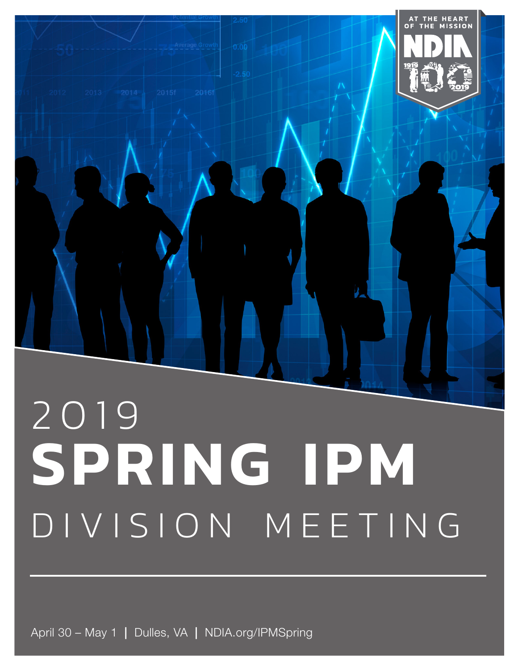

# DIVISION MEETING

April 30 – May 1 | Dulles, VA | NDIA.org/IPMSpring

Location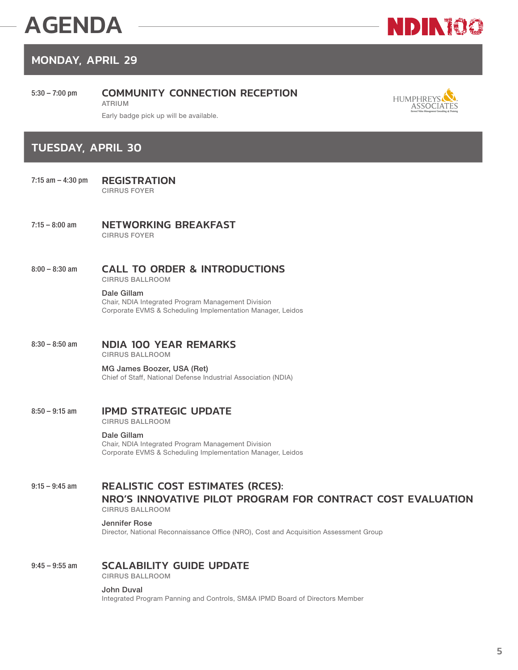# AGENDA



### MONDAY, APRIL 29

#### 5:30 – 7:00 pm COMMUNITY CONNECTION RECEPTION

ATRIUM



Early badge pick up will be available.

#### TUESDAY, APRIL 30

- 7:15 am 4:30 pm REGISTRATION CIRRUS FOYER
- 7:15 8:00 am **NETWORKING BREAKFAST** CIRRUS FOYER
- 8:00 8:30 am CALL TO ORDER & INTRODUCTIONS

CIRRUS BALLROOM

#### Dale Gillam

Chair, NDIA Integrated Program Management Division Corporate EVMS & Scheduling Implementation Manager, Leidos

#### 8:30 – 8:50 am **NDIA 100 YEAR REMARKS**

CIRRUS BALLROOM

#### MG James Boozer, USA (Ret) Chief of Staff, National Defense Industrial Association (NDIA)

#### 8:50 – 9:15 am **IPMD STRATEGIC UPDATE**

CIRRUS BALLROOM

#### Dale Gillam

Chair, NDIA Integrated Program Management Division Corporate EVMS & Scheduling Implementation Manager, Leidos

#### 9:15 – 9:45 am REALISTIC COST ESTIMATES (RCES): NRO'S INNOVATIVE PILOT PROGRAM FOR CONTRACT COST EVALUATION CIRRUS BALLROOM

#### Jennifer Rose

Director, National Reconnaissance Office (NRO), Cost and Acquisition Assessment Group

#### 9:45 - 9:55 am **SCALABILITY GUIDE UPDATE**

CIRRUS BALLROOM

#### John Duval

Integrated Program Panning and Controls, SM&A IPMD Board of Directors Member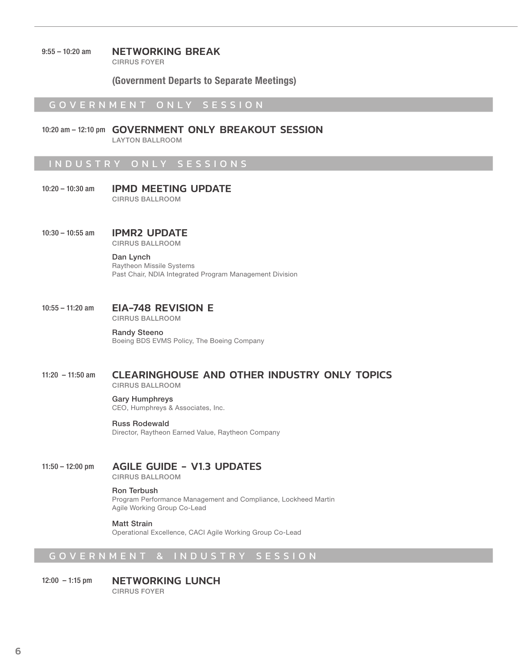#### 9:55 – 10:20 am **NETWORKING BREAK**

CIRRUS FOYER

(Government Departs to Separate Meetings)

#### GOVERNMENT ONLY SESSION

10:20 am – 12:10 pm GOVERNMENT ONLY BREAKOUT SESSION LAYTON BALLROOM

#### INDUSTRY ON LY SESSIONS

- 10:20 10:30 am **IPMD MEETING UPDATE** CIRRUS BALLROOM
- 10:30 10:55 am **IPMR2 UPDATE** CIRRUS BALLROOM

#### Dan Lynch

Raytheon Missile Systems Past Chair, NDIA Integrated Program Management Division

#### 10:55 – 11:20 am **EIA-748 REVISION E** CIRRUS BALLROOM

Randy Steeno Boeing BDS EVMS Policy, The Boeing Company

#### 11:20 – 11:50 am CLEARINGHOUSE AND OTHER INDUSTRY ONLY TOPICS CIRRUS BALLROOM

#### Gary Humphreys

CEO, Humphreys & Associates, Inc.

#### Russ Rodewald

Director, Raytheon Earned Value, Raytheon Company

#### 11:50 – 12:00 pm AGILE GUIDE - V1.3 UPDATES

CIRRUS BALLROOM

#### Ron Terbush

Program Performance Management and Compliance, Lockheed Martin Agile Working Group Co-Lead

Matt Strain Operational Excellence, CACI Agile Working Group Co-Lead

#### GOVERNMENT & INDUSTRY SESSION

#### 12:00 - 1:15 pm NETWORKING LUNCH CIRRUS FOYER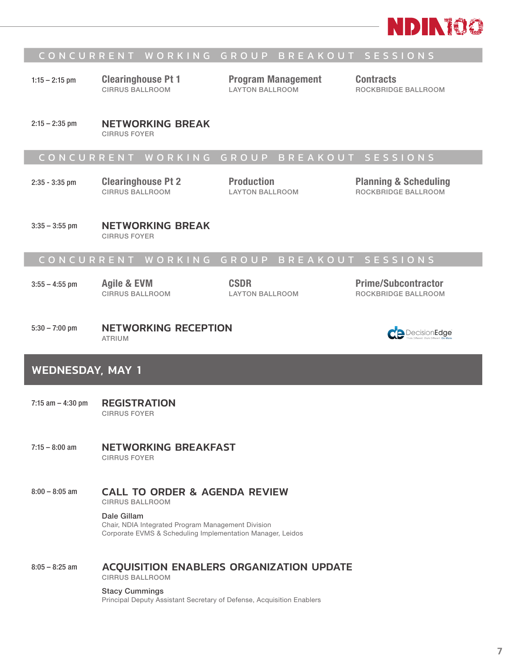

#### CONCURRENT WORKING GROUP BREAKOUT SESSIONS

1:15 – 2:15 pm Clearinghouse Pt 1 CIRRUS BALLROOM

Program Management LAYTON BALLROOM

Contracts ROCKBRIDGE BALLROOM

2:15 - 2:35 pm **NETWORKING BREAK** CIRRUS FOYER

#### CONCURRENT WORKING GROUP BREAKOUT SESSIONS

2:35 - 3:35 pm Clearinghouse Pt 2 CIRRUS BALLROOM

Production LAYTON BALLROOM Planning & Scheduling ROCKBRIDGE BALLROOM

3:35 – 3:55 pm **NETWORKING BREAK** CIRRUS FOYER

#### CONCURRENT WORKING GROUP BREAKOUT SESSIONS

3:55 – 4:55 pm Agile & EVM

CIRRUS BALLROOM

CSDR LAYTON BALLROOM Prime/Subcontractor ROCKBRIDGE BALLROOM

#### 5:30 – 7:00 pm **NETWORKING RECEPTION** ATRIUM

#### WEDNESDAY, MAY 1

- 7:15 am 4:30 pm REGISTRATION CIRRUS FOYER
- 7:15 8:00 am METWORKING BREAKFAST CIRRUS FOYER
- 8:00 8:05 am CALL TO ORDER & AGENDA REVIEW

CIRRUS BALLROOM

Dale Gillam Chair, NDIA Integrated Program Management Division Corporate EVMS & Scheduling Implementation Manager, Leidos

8:05 – 8:25 am ACQUISITION ENABLERS ORGANIZATION UPDATE CIRRUS BALLROOM

Stacy Cummings

Principal Deputy Assistant Secretary of Defense, Acquisition Enablers

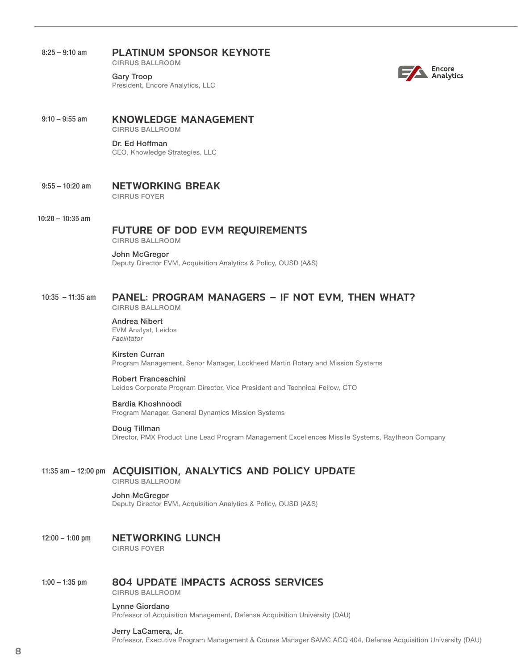#### 8:25 - 9:10 am **PLATINUM SPONSOR KEYNOTE**

CIRRUS BALLROOM

Gary Troop President, Encore Analytics, LLC



9:10 - 9:55 am KNOWLEDGE MANAGEMENT CIRRUS BALLROOM

> Dr. Ed Hoffman CEO, Knowledge Strategies, LLC

- 9:55 10:20 am NETWORKING BREAK CIRRUS FOYER
- 10:20 10:35 am

#### FUTURE OF DOD EVM REQUIREMENTS

CIRRUS BALLROOM

#### John McGregor

Deputy Director EVM, Acquisition Analytics & Policy, OUSD (A&S)

#### 10:35 – 11:35 am PANEL: PROGRAM MANAGERS – IF NOT EVM, THEN WHAT?

CIRRUS BALLROOM

Andrea Nibert EVM Analyst, Leidos *Facilitator*

#### Kirsten Curran

Program Management, Senor Manager, Lockheed Martin Rotary and Mission Systems

#### Robert Franceschini

Leidos Corporate Program Director, Vice President and Technical Fellow, CTO

#### Bardia Khoshnoodi

Program Manager, General Dynamics Mission Systems

#### Doug Tillman

Director, PMX Product Line Lead Program Management Excellences Missile Systems, Raytheon Company

#### 11:35 am – 12:00 pm ACQUISITION, ANALYTICS AND POLICY UPDATE

CIRRUS BALLROOM

#### John McGregor

Deputy Director EVM, Acquisition Analytics & Policy, OUSD (A&S)

#### 12:00 – 1:00 pm NETWORKING LUNCH CIRRUS FOYER

#### 1:00 – 1:35 pm 804 UPDATE IMPACTS ACROSS SERVICES

CIRRUS BALLROOM

#### Lynne Giordano

Professor of Acquisition Management, Defense Acquisition University (DAU)

#### Jerry LaCamera, Jr.

Professor, Executive Program Management & Course Manager SAMC ACQ 404, Defense Acquisition University (DAU)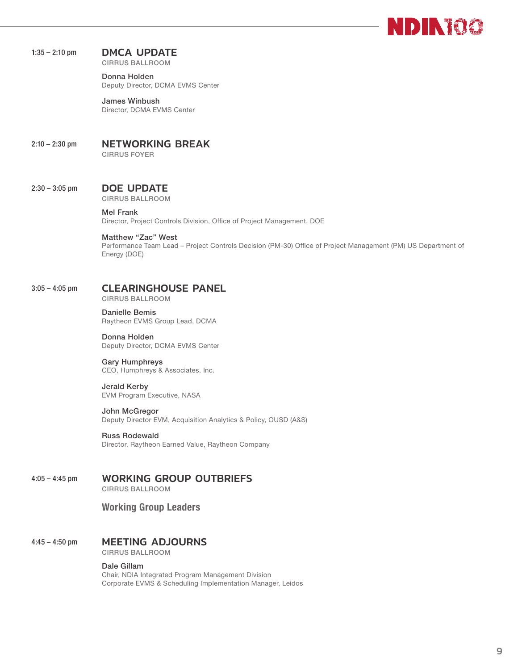

#### 1:35 - 2:10 pm DMCA UPDATE

CIRRUS BALLROOM

Donna Holden Deputy Director, DCMA EVMS Center

James Winbush Director, DCMA EVMS Center

#### 2:10 - 2:30 pm **NETWORKING BREAK**

CIRRUS FOYER

#### 2:30 – 3:05 pm DOE UPDATE

CIRRUS BALLROOM

#### Mel Frank

Director, Project Controls Division, Office of Project Management, DOE

#### Matthew "Zac" West

Performance Team Lead – Project Controls Decision (PM-30) Office of Project Management (PM) US Department of Energy (DOE)

#### 3:05 – 4:05 pm CLEARINGHOUSE PANEL

CIRRUS BALLROOM

Danielle Bemis Raytheon EVMS Group Lead, DCMA

Donna Holden Deputy Director, DCMA EVMS Center

Gary Humphreys CEO, Humphreys & Associates, Inc.

Jerald Kerby EVM Program Executive, NASA

#### John McGregor

Deputy Director EVM, Acquisition Analytics & Policy, OUSD (A&S)

Russ Rodewald

Director, Raytheon Earned Value, Raytheon Company

#### 4:05 – 4:45 pm WORKING GROUP OUTBRIEFS

CIRRUS BALLROOM

#### Working Group Leaders

#### 4:45 – 4:50 pm MEETING ADJOURNS

CIRRUS BALLROOM

#### Dale Gillam

Chair, NDIA Integrated Program Management Division Corporate EVMS & Scheduling Implementation Manager, Leidos